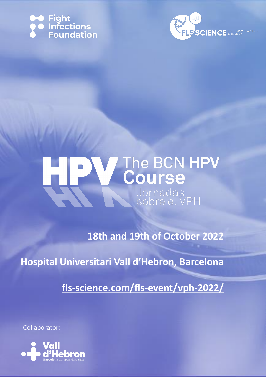





**18th and 19th of October 2022**

**Hospital Universitari Vall d'Hebron, Barcelona**

**[fls-science.com/fls-event/vph-2022/](https://www.fls-science.com/fls-event/vph-2022/)**

Collaborator:

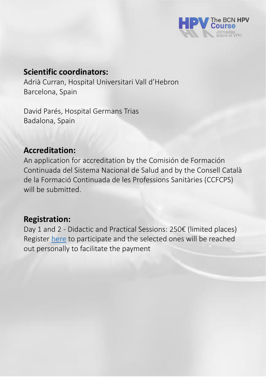

# **Scientific coordinators:**

Adrià Curran, Hospital Universitari Vall d'Hebron Barcelona, Spain

David Parés, Hospital Germans Trias Badalona, Spain

## **Accreditation:**

An application for accreditation by the Comisión de Formación Continuada del Sistema Nacional de Salud and by the Consell Català de la Formació Continuada de les Professions Sanitàries (CCFCPS) will be submitted.

## **Registration:**

Day 1 and 2 - Didactic and Practical Sessions: 250€ (limited places) Register [here](https://www.fls-science.com/fls-event/vph-2022/) to participate and the selected ones will be reached out personally to facilitate the payment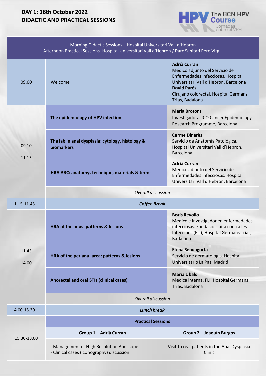#### **DAY 1: 18th October 2022 DIDACTIC AND PRACTICAL SESSIONS**



| Morning Didactic Sessions - Hospital Universitari Vall d'Hebron<br>Afternoon Practical Sessions-Hospital Universitari Vall d'Hebron / Parc Sanitari Pere Virgili |                                                                                       |                                                                                                                                                                                                                        |  |  |
|------------------------------------------------------------------------------------------------------------------------------------------------------------------|---------------------------------------------------------------------------------------|------------------------------------------------------------------------------------------------------------------------------------------------------------------------------------------------------------------------|--|--|
| 09.00                                                                                                                                                            | Welcome                                                                               | <b>Adrià Curran</b><br>Médico adjunto del Servicio de<br>Enfermedades Infecciosas. Hospital<br>Universitari Vall d'Hebron, Barcelona<br><b>David Parés</b><br>Cirujano colorectal. Hospital Germans<br>Trias, Badalona |  |  |
| 09.10<br>11.15                                                                                                                                                   | The epidemiology of HPV infection                                                     | <b>Maria Brotons</b><br>Investigadora. ICO Cancer Epidemiology<br>Research Programme, Barcelona                                                                                                                        |  |  |
|                                                                                                                                                                  | The lab in anal dysplasia: cytology, histology &<br><b>biomarkers</b>                 | <b>Carme Dinarès</b><br>Servicio de Anatomía Patológica.<br>Hospital Universitari Vall d'Hebron,<br><b>Barcelona</b>                                                                                                   |  |  |
|                                                                                                                                                                  | HRA ABC: anatomy, technique, materials & terms                                        | <b>Adrià Curran</b><br>Médico adjunto del Servicio de<br>Enfermedades Infecciosas. Hospital<br>Universitari Vall d'Hebron, Barcelona                                                                                   |  |  |
|                                                                                                                                                                  | <b>Overall discussion</b>                                                             |                                                                                                                                                                                                                        |  |  |
| 11.15-11.45                                                                                                                                                      | <b>Coffee Break</b>                                                                   |                                                                                                                                                                                                                        |  |  |
| 11.45<br>14.00                                                                                                                                                   | HRA of the anus: patterns & lesions                                                   | <b>Boris Revollo</b><br>Médico e investigador en enfermedades<br>infecciosas. Fundació Lluita contra les<br>Infeccions (FLI), Hospital Germans Trias,<br><b>Badalona</b>                                               |  |  |
|                                                                                                                                                                  | HRA of the perianal area: patterns & lesions                                          | <b>Elena Sendagorta</b><br>Servicio de dermatología. Hospital<br>Universitario La Paz, Madrid                                                                                                                          |  |  |
|                                                                                                                                                                  | <b>Anorectal and oral STIs (clinical cases)</b>                                       | <b>Maria Ubals</b><br>Médica interna. FLI, Hospital Germans<br>Trias, Badalona                                                                                                                                         |  |  |
|                                                                                                                                                                  | <b>Overall discussion</b>                                                             |                                                                                                                                                                                                                        |  |  |
| 14.00-15.30                                                                                                                                                      | <b>Lunch break</b>                                                                    |                                                                                                                                                                                                                        |  |  |
| 15.30-18.00                                                                                                                                                      | <b>Practical Sessions</b>                                                             |                                                                                                                                                                                                                        |  |  |
|                                                                                                                                                                  | Group 1 - Adrià Curran                                                                | Group 2 - Joaquín Burgos                                                                                                                                                                                               |  |  |
|                                                                                                                                                                  | - Management of High Resolution Anuscope<br>- Clinical cases (iconography) discussion | Visit to real patients in the Anal Dysplasia<br>Clinic                                                                                                                                                                 |  |  |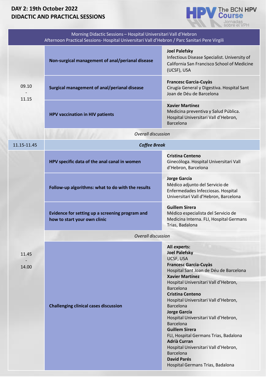### **DAY 2: 19th October 2022 DIDACTIC AND PRACTICAL SESSIONS**



| Morning Didactic Sessions - Hospital Universitari Vall d'Hebron<br>Afternoon Practical Sessions- Hospital Universitari Vall d'Hebron / Parc Sanitari Pere Virgili |                                                                                 |                                                                                                                                                                                                                                                                                                                                                                                                                                                                                                                                                                                                     |  |  |
|-------------------------------------------------------------------------------------------------------------------------------------------------------------------|---------------------------------------------------------------------------------|-----------------------------------------------------------------------------------------------------------------------------------------------------------------------------------------------------------------------------------------------------------------------------------------------------------------------------------------------------------------------------------------------------------------------------------------------------------------------------------------------------------------------------------------------------------------------------------------------------|--|--|
|                                                                                                                                                                   | Non-surgical management of anal/perianal disease                                | <b>Joel Palefsky</b><br>Infectious Disease Specialist. University of<br>California San Francisco School of Medicine<br>(UCSF), USA                                                                                                                                                                                                                                                                                                                                                                                                                                                                  |  |  |
| 09.10<br>11.15                                                                                                                                                    | Surgical management of anal/perianal disease                                    | <b>Francesc Garcia-Cuyàs</b><br>Cirugía General y Digestiva. Hospital Sant<br>Joan de Déu de Barcelona                                                                                                                                                                                                                                                                                                                                                                                                                                                                                              |  |  |
|                                                                                                                                                                   | <b>HPV vaccination in HIV patients</b>                                          | <b>Xavier Martínez</b><br>Medicina preventiva y Salud Pública.<br>Hospital Universitari Vall d'Hebron,<br><b>Barcelona</b>                                                                                                                                                                                                                                                                                                                                                                                                                                                                          |  |  |
| <b>Overall discussion</b>                                                                                                                                         |                                                                                 |                                                                                                                                                                                                                                                                                                                                                                                                                                                                                                                                                                                                     |  |  |
| 11.15-11.45                                                                                                                                                       | <b>Coffee Break</b>                                                             |                                                                                                                                                                                                                                                                                                                                                                                                                                                                                                                                                                                                     |  |  |
|                                                                                                                                                                   | HPV specific data of the anal canal in women                                    | <b>Cristina Centeno</b><br>Ginecóloga. Hospital Universitari Vall<br>d'Hebron, Barcelona                                                                                                                                                                                                                                                                                                                                                                                                                                                                                                            |  |  |
|                                                                                                                                                                   | Follow-up algorithms: what to do with the results                               | <b>Jorge García</b><br>Médico adjunto del Servicio de<br>Enfermedades Infecciosas. Hospital<br>Universitari Vall d'Hebron, Barcelona                                                                                                                                                                                                                                                                                                                                                                                                                                                                |  |  |
|                                                                                                                                                                   | Evidence for setting up a screening program and<br>how to start your own clinic | <b>Guillem Sirera</b><br>Médico especialista del Servicio de<br>Medicina Interna. FLI, Hospital Germans<br>Trias, Badalona                                                                                                                                                                                                                                                                                                                                                                                                                                                                          |  |  |
|                                                                                                                                                                   | <b>Overall discussion</b>                                                       |                                                                                                                                                                                                                                                                                                                                                                                                                                                                                                                                                                                                     |  |  |
| 11.45<br>14.00                                                                                                                                                    | <b>Challenging clinical cases discussion</b>                                    | All experts:<br><b>Joel Palefsky</b><br>UCSF, USA<br><b>Francesc Garcia-Cuyàs</b><br>Hospital Sant Joan de Déu de Barcelona<br><b>Xavier Martínez</b><br>Hospital Universitari Vall d'Hebron,<br><b>Barcelona</b><br><b>Cristina Centeno</b><br>Hospital Universitari Vall d'Hebron,<br><b>Barcelona</b><br>Jorge García<br>Hospital Universitari Vall d'Hebron,<br><b>Barcelona</b><br><b>Guillem Sirera</b><br>FLI, Hospital Germans Trias, Badalona<br><b>Adrià Curran</b><br>Hospital Universitari Vall d'Hebron,<br><b>Barcelona</b><br><b>David Parés</b><br>Hospital Germans Trias, Badalona |  |  |